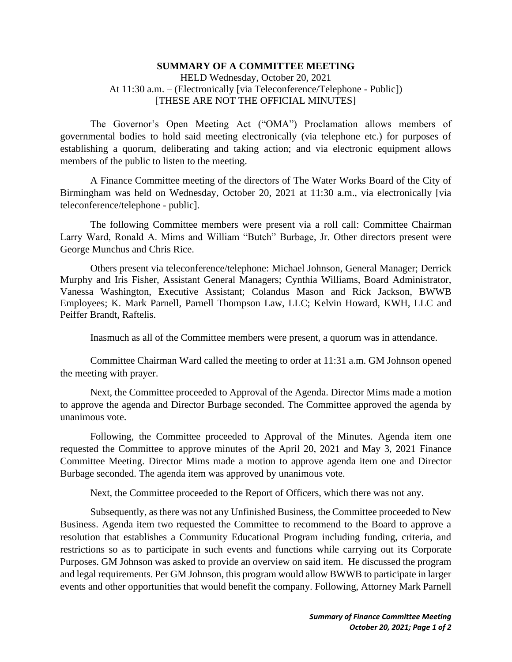## **SUMMARY OF A COMMITTEE MEETING** HELD Wednesday, October 20, 2021 At 11:30 a.m. – (Electronically [via Teleconference/Telephone - Public]) [THESE ARE NOT THE OFFICIAL MINUTES]

The Governor's Open Meeting Act ("OMA") Proclamation allows members of governmental bodies to hold said meeting electronically (via telephone etc.) for purposes of establishing a quorum, deliberating and taking action; and via electronic equipment allows members of the public to listen to the meeting.

A Finance Committee meeting of the directors of The Water Works Board of the City of Birmingham was held on Wednesday, October 20, 2021 at 11:30 a.m., via electronically [via teleconference/telephone - public].

The following Committee members were present via a roll call: Committee Chairman Larry Ward, Ronald A. Mims and William "Butch" Burbage, Jr. Other directors present were George Munchus and Chris Rice.

Others present via teleconference/telephone: Michael Johnson, General Manager; Derrick Murphy and Iris Fisher, Assistant General Managers; Cynthia Williams, Board Administrator, Vanessa Washington, Executive Assistant; Colandus Mason and Rick Jackson, BWWB Employees; K. Mark Parnell, Parnell Thompson Law, LLC; Kelvin Howard, KWH, LLC and Peiffer Brandt, Raftelis.

Inasmuch as all of the Committee members were present, a quorum was in attendance.

Committee Chairman Ward called the meeting to order at 11:31 a.m. GM Johnson opened the meeting with prayer.

Next, the Committee proceeded to Approval of the Agenda. Director Mims made a motion to approve the agenda and Director Burbage seconded. The Committee approved the agenda by unanimous vote.

Following, the Committee proceeded to Approval of the Minutes. Agenda item one requested the Committee to approve minutes of the April 20, 2021 and May 3, 2021 Finance Committee Meeting. Director Mims made a motion to approve agenda item one and Director Burbage seconded. The agenda item was approved by unanimous vote.

Next, the Committee proceeded to the Report of Officers, which there was not any.

Subsequently, as there was not any Unfinished Business, the Committee proceeded to New Business. Agenda item two requested the Committee to recommend to the Board to approve a resolution that establishes a Community Educational Program including funding, criteria, and restrictions so as to participate in such events and functions while carrying out its Corporate Purposes. GM Johnson was asked to provide an overview on said item. He discussed the program and legal requirements. Per GM Johnson, this program would allow BWWB to participate in larger events and other opportunities that would benefit the company. Following, Attorney Mark Parnell